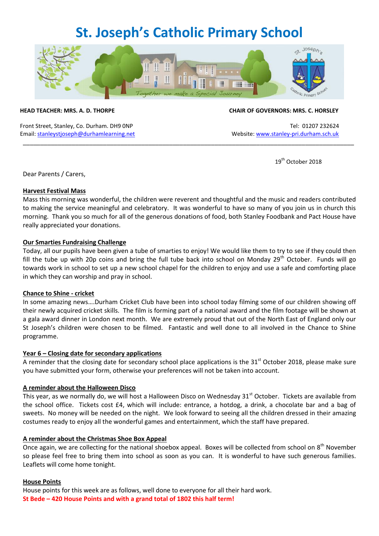### **St. Joseph's Catholic Primary School**



\_\_\_\_\_\_\_\_\_\_\_\_\_\_\_\_\_\_\_\_\_\_\_\_\_\_\_\_\_\_\_\_\_\_\_\_\_\_\_\_\_\_\_\_\_\_\_\_\_\_\_\_\_\_\_\_\_\_\_\_\_\_\_\_\_\_\_\_\_\_\_\_\_\_\_\_\_\_\_\_\_\_\_\_\_\_\_\_\_\_\_\_\_\_\_

Front Street, Stanley, Co. Durham. DH9 0NP Tel: 01207 232624 Email[: stanleystjoseph@durhamlearning.net](mailto:stanleystjoseph@durhamlearning.net) Website[: www.stanley-pri.durham.sch.uk](http://www.stanley-pri.durham.sch.uk/)

#### **HEAD TEACHER: MRS. A. D. THORPE CHAIR OF GOVERNORS: MRS. C. HORSLEY**

19<sup>th</sup> October 2018

Dear Parents / Carers,

#### **Harvest Festival Mass**

Mass this morning was wonderful, the children were reverent and thoughtful and the music and readers contributed to making the service meaningful and celebratory. It was wonderful to have so many of you join us in church this morning. Thank you so much for all of the generous donations of food, both Stanley Foodbank and Pact House have really appreciated your donations.

#### **Our Smarties Fundraising Challenge**

Today, all our pupils have been given a tube of smarties to enjoy! We would like them to try to see if they could then fill the tube up with 20p coins and bring the full tube back into school on Monday  $29<sup>th</sup>$  October. Funds will go towards work in school to set up a new school chapel for the children to enjoy and use a safe and comforting place in which they can worship and pray in school.

#### **Chance to Shine - cricket**

In some amazing news….Durham Cricket Club have been into school today filming some of our children showing off their newly acquired cricket skills. The film is forming part of a national award and the film footage will be shown at a gala award dinner in London next month. We are extremely proud that out of the North East of England only our St Joseph's children were chosen to be filmed. Fantastic and well done to all involved in the Chance to Shine programme.

#### **Year 6 – Closing date for secondary applications**

A reminder that the closing date for secondary school place applications is the  $31<sup>st</sup>$  October 2018, please make sure you have submitted your form, otherwise your preferences will not be taken into account.

#### **A reminder about the Halloween Disco**

This year, as we normally do, we will host a Halloween Disco on Wednesday 31<sup>st</sup> October. Tickets are available from the school office. Tickets cost £4, which will include: entrance, a hotdog, a drink, a chocolate bar and a bag of sweets. No money will be needed on the night. We look forward to seeing all the children dressed in their amazing costumes ready to enjoy all the wonderful games and entertainment, which the staff have prepared.

#### **A reminder about the Christmas Shoe Box Appeal**

Once again, we are collecting for the national shoebox appeal. Boxes will be collected from school on 8<sup>th</sup> November so please feel free to bring them into school as soon as you can. It is wonderful to have such generous families. Leaflets will come home tonight.

#### **House Points**

House points for this week are as follows, well done to everyone for all their hard work. **St Bede – 420 House Points and with a grand total of 1802 this half term!**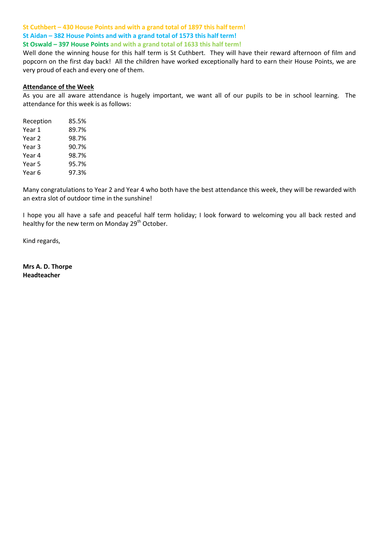### **St Cuthbert – 430 House Points and with a grand total of 1897 this half term! St Aidan – 382 House Points and with a grand total of 1573 this half term!**

**St Oswald – 397 House Points and with a grand total of 1633 this half term!**

Well done the winning house for this half term is St Cuthbert. They will have their reward afternoon of film and popcorn on the first day back! All the children have worked exceptionally hard to earn their House Points, we are very proud of each and every one of them.

#### **Attendance of the Week**

As you are all aware attendance is hugely important, we want all of our pupils to be in school learning. The attendance for this week is as follows:

| Reception | 85.5% |
|-----------|-------|
| Year 1    | 89.7% |
| Year 2    | 98.7% |
| Year 3    | 90.7% |
| Year 4    | 98.7% |
| Year 5    | 95.7% |
| Year 6    | 97.3% |

Many congratulations to Year 2 and Year 4 who both have the best attendance this week, they will be rewarded with an extra slot of outdoor time in the sunshine!

I hope you all have a safe and peaceful half term holiday; I look forward to welcoming you all back rested and healthy for the new term on Monday 29<sup>th</sup> October.

Kind regards,

**Mrs A. D. Thorpe Headteacher**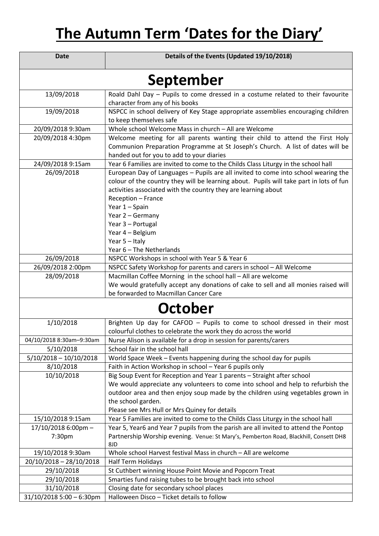# **The Autumn Term 'Dates for the Diary'**

| <b>Date</b>                | Details of the Events (Updated 19/10/2018)                                                                                                                                                                                                                                              |
|----------------------------|-----------------------------------------------------------------------------------------------------------------------------------------------------------------------------------------------------------------------------------------------------------------------------------------|
| September                  |                                                                                                                                                                                                                                                                                         |
| 13/09/2018                 | Roald Dahl Day - Pupils to come dressed in a costume related to their favourite                                                                                                                                                                                                         |
|                            | character from any of his books                                                                                                                                                                                                                                                         |
| 19/09/2018                 | NSPCC in school delivery of Key Stage appropriate assemblies encouraging children                                                                                                                                                                                                       |
| 20/09/2018 9:30am          | to keep themselves safe<br>Whole school Welcome Mass in church - All are Welcome                                                                                                                                                                                                        |
|                            | Welcome meeting for all parents wanting their child to attend the First Holy                                                                                                                                                                                                            |
| 20/09/2018 4:30pm          | Communion Preparation Programme at St Joseph's Church. A list of dates will be<br>handed out for you to add to your diaries                                                                                                                                                             |
| 24/09/2018 9:15am          | Year 6 Families are invited to come to the Childs Class Liturgy in the school hall                                                                                                                                                                                                      |
| 26/09/2018                 | European Day of Languages - Pupils are all invited to come into school wearing the<br>colour of the country they will be learning about. Pupils will take part in lots of fun<br>activities associated with the country they are learning about<br>Reception - France<br>Year 1 - Spain |
|                            | Year 2 - Germany                                                                                                                                                                                                                                                                        |
|                            | Year 3 - Portugal                                                                                                                                                                                                                                                                       |
|                            | Year 4 - Belgium                                                                                                                                                                                                                                                                        |
|                            | Year 5 - Italy                                                                                                                                                                                                                                                                          |
|                            | Year 6 - The Netherlands                                                                                                                                                                                                                                                                |
| 26/09/2018                 | NSPCC Workshops in school with Year 5 & Year 6                                                                                                                                                                                                                                          |
| 26/09/2018 2:00pm          | NSPCC Safety Workshop for parents and carers in school - All Welcome                                                                                                                                                                                                                    |
| 28/09/2018                 | Macmillan Coffee Morning in the school hall - All are welcome                                                                                                                                                                                                                           |
|                            | We would gratefully accept any donations of cake to sell and all monies raised will                                                                                                                                                                                                     |
|                            | be forwarded to Macmillan Cancer Care                                                                                                                                                                                                                                                   |
| October                    |                                                                                                                                                                                                                                                                                         |
| 1/10/2018                  | Brighten Up day for CAFOD - Pupils to come to school dressed in their most                                                                                                                                                                                                              |
|                            | colourful clothes to celebrate the work they do across the world                                                                                                                                                                                                                        |
| 04/10/2018 8:30am-9:30am   | Nurse Alison is available for a drop in session for parents/carers                                                                                                                                                                                                                      |
| 5/10/2018                  | School fair in the school hall                                                                                                                                                                                                                                                          |
| $5/10/2018 - 10/10/2018$   | World Space Week - Events happening during the school day for pupils                                                                                                                                                                                                                    |
| 8/10/2018                  | Faith in Action Workshop in school - Year 6 pupils only                                                                                                                                                                                                                                 |
| 10/10/2018                 | Big Soup Event for Reception and Year 1 parents - Straight after school                                                                                                                                                                                                                 |
|                            | We would appreciate any volunteers to come into school and help to refurbish the                                                                                                                                                                                                        |
|                            | outdoor area and then enjoy soup made by the children using vegetables grown in                                                                                                                                                                                                         |
|                            | the school garden.                                                                                                                                                                                                                                                                      |
| 15/10/2018 9:15am          | Please see Mrs Hull or Mrs Quiney for details<br>Year 5 Families are invited to come to the Childs Class Liturgy in the school hall                                                                                                                                                     |
| 17/10/2018 6:00pm -        | Year 5, Year6 and Year 7 pupils from the parish are all invited to attend the Pontop                                                                                                                                                                                                    |
| 7:30pm                     | Partnership Worship evening. Venue: St Mary's, Pemberton Road, Blackhill, Consett DH8                                                                                                                                                                                                   |
|                            | 8JD                                                                                                                                                                                                                                                                                     |
| 19/10/2018 9:30am          | Whole school Harvest festival Mass in church - All are welcome                                                                                                                                                                                                                          |
| 20/10/2018 - 28/10/2018    | <b>Half Term Holidays</b>                                                                                                                                                                                                                                                               |
| 29/10/2018                 | St Cuthbert winning House Point Movie and Popcorn Treat                                                                                                                                                                                                                                 |
| 29/10/2018                 | Smarties fund raising tubes to be brought back into school                                                                                                                                                                                                                              |
| 31/10/2018                 | Closing date for secondary school places                                                                                                                                                                                                                                                |
| $31/10/20185:00 - 6:30$ pm | Halloween Disco - Ticket details to follow                                                                                                                                                                                                                                              |